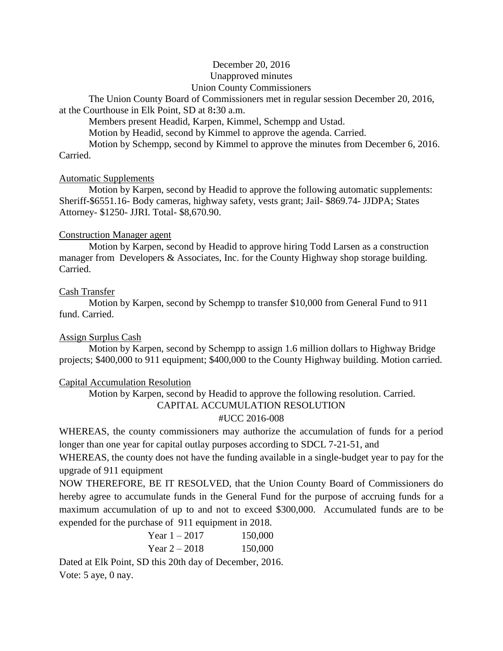# December 20, 2016 Unapproved minutes Union County Commissioners

The Union County Board of Commissioners met in regular session December 20, 2016, at the Courthouse in Elk Point, SD at 8**:**30 a.m.

Members present Headid, Karpen, Kimmel, Schempp and Ustad.

Motion by Headid, second by Kimmel to approve the agenda. Carried.

Motion by Schempp, second by Kimmel to approve the minutes from December 6, 2016. Carried.

# Automatic Supplements

Motion by Karpen, second by Headid to approve the following automatic supplements: Sheriff-\$6551.16- Body cameras, highway safety, vests grant; Jail- \$869.74- JJDPA; States Attorney- \$1250- JJRI. Total- \$8,670.90.

# Construction Manager agent

Motion by Karpen, second by Headid to approve hiring Todd Larsen as a construction manager from Developers & Associates, Inc. for the County Highway shop storage building. Carried.

# Cash Transfer

Motion by Karpen, second by Schempp to transfer \$10,000 from General Fund to 911 fund. Carried.

# Assign Surplus Cash

Motion by Karpen, second by Schempp to assign 1.6 million dollars to Highway Bridge projects; \$400,000 to 911 equipment; \$400,000 to the County Highway building. Motion carried.

# Capital Accumulation Resolution

Motion by Karpen, second by Headid to approve the following resolution. Carried.

# CAPITAL ACCUMULATION RESOLUTION

# #UCC 2016-008

WHEREAS, the county commissioners may authorize the accumulation of funds for a period longer than one year for capital outlay purposes according to SDCL 7-21-51, and

WHEREAS, the county does not have the funding available in a single-budget year to pay for the upgrade of 911 equipment

NOW THEREFORE, BE IT RESOLVED, that the Union County Board of Commissioners do hereby agree to accumulate funds in the General Fund for the purpose of accruing funds for a maximum accumulation of up to and not to exceed \$300,000. Accumulated funds are to be expended for the purchase of 911 equipment in 2018.

| Year 1 – 2017 | 150,000 |
|---------------|---------|
| Year $2-2018$ | 150,000 |

Dated at Elk Point, SD this 20th day of December, 2016. Vote: 5 aye, 0 nay.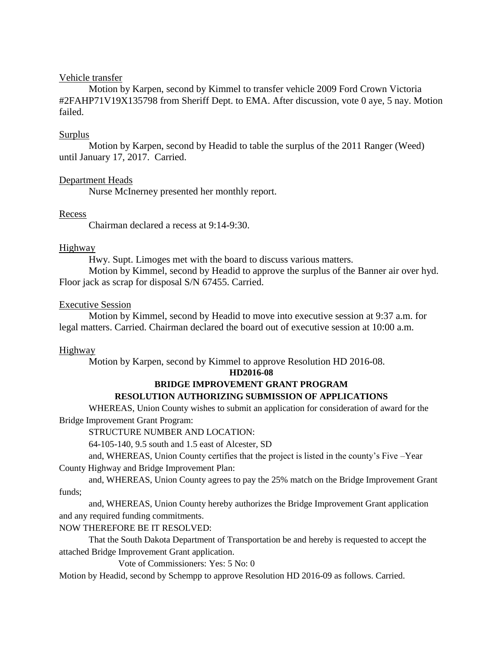#### Vehicle transfer

Motion by Karpen, second by Kimmel to transfer vehicle 2009 Ford Crown Victoria #2FAHP71V19X135798 from Sheriff Dept. to EMA. After discussion, vote 0 aye, 5 nay. Motion failed.

## Surplus

Motion by Karpen, second by Headid to table the surplus of the 2011 Ranger (Weed) until January 17, 2017. Carried.

## Department Heads

Nurse McInerney presented her monthly report.

## Recess

Chairman declared a recess at 9:14-9:30.

## **Highway**

Hwy. Supt. Limoges met with the board to discuss various matters.

Motion by Kimmel, second by Headid to approve the surplus of the Banner air over hyd. Floor jack as scrap for disposal S/N 67455. Carried.

## Executive Session

Motion by Kimmel, second by Headid to move into executive session at 9:37 a.m. for legal matters. Carried. Chairman declared the board out of executive session at 10:00 a.m.

# Highway

Motion by Karpen, second by Kimmel to approve Resolution HD 2016-08.

#### **HD2016-08**

# **BRIDGE IMPROVEMENT GRANT PROGRAM**

# **RESOLUTION AUTHORIZING SUBMISSION OF APPLICATIONS**

WHEREAS, Union County wishes to submit an application for consideration of award for the Bridge Improvement Grant Program:

STRUCTURE NUMBER AND LOCATION:

64-105-140, 9.5 south and 1.5 east of Alcester, SD

and, WHEREAS, Union County certifies that the project is listed in the county's Five –Year County Highway and Bridge Improvement Plan:

and, WHEREAS, Union County agrees to pay the 25% match on the Bridge Improvement Grant funds;

and, WHEREAS, Union County hereby authorizes the Bridge Improvement Grant application and any required funding commitments.

NOW THEREFORE BE IT RESOLVED:

That the South Dakota Department of Transportation be and hereby is requested to accept the attached Bridge Improvement Grant application.

Vote of Commissioners: Yes: 5 No: 0

Motion by Headid, second by Schempp to approve Resolution HD 2016-09 as follows. Carried.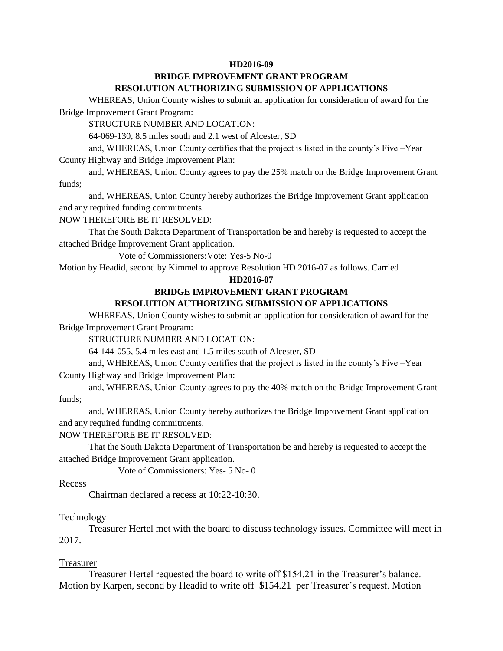#### **HD2016-09**

## **BRIDGE IMPROVEMENT GRANT PROGRAM RESOLUTION AUTHORIZING SUBMISSION OF APPLICATIONS**

WHEREAS, Union County wishes to submit an application for consideration of award for the Bridge Improvement Grant Program:

STRUCTURE NUMBER AND LOCATION:

64-069-130, 8.5 miles south and 2.1 west of Alcester, SD

and, WHEREAS, Union County certifies that the project is listed in the county's Five –Year County Highway and Bridge Improvement Plan:

and, WHEREAS, Union County agrees to pay the 25% match on the Bridge Improvement Grant funds;

and, WHEREAS, Union County hereby authorizes the Bridge Improvement Grant application and any required funding commitments.

NOW THEREFORE BE IT RESOLVED:

That the South Dakota Department of Transportation be and hereby is requested to accept the attached Bridge Improvement Grant application.

Vote of Commissioners:Vote: Yes-5 No-0

Motion by Headid, second by Kimmel to approve Resolution HD 2016-07 as follows. Carried

#### **HD2016-07**

#### **BRIDGE IMPROVEMENT GRANT PROGRAM**

#### **RESOLUTION AUTHORIZING SUBMISSION OF APPLICATIONS**

WHEREAS, Union County wishes to submit an application for consideration of award for the Bridge Improvement Grant Program:

STRUCTURE NUMBER AND LOCATION:

64-144-055, 5.4 miles east and 1.5 miles south of Alcester, SD

and, WHEREAS, Union County certifies that the project is listed in the county's Five –Year

County Highway and Bridge Improvement Plan:

and, WHEREAS, Union County agrees to pay the 40% match on the Bridge Improvement Grant funds;

and, WHEREAS, Union County hereby authorizes the Bridge Improvement Grant application and any required funding commitments.

#### NOW THEREFORE BE IT RESOLVED:

That the South Dakota Department of Transportation be and hereby is requested to accept the attached Bridge Improvement Grant application.

Vote of Commissioners: Yes- 5 No- 0

#### Recess

Chairman declared a recess at 10:22-10:30.

#### Technology

Treasurer Hertel met with the board to discuss technology issues. Committee will meet in 2017.

#### Treasurer

Treasurer Hertel requested the board to write off \$154.21 in the Treasurer's balance. Motion by Karpen, second by Headid to write off \$154.21 per Treasurer's request. Motion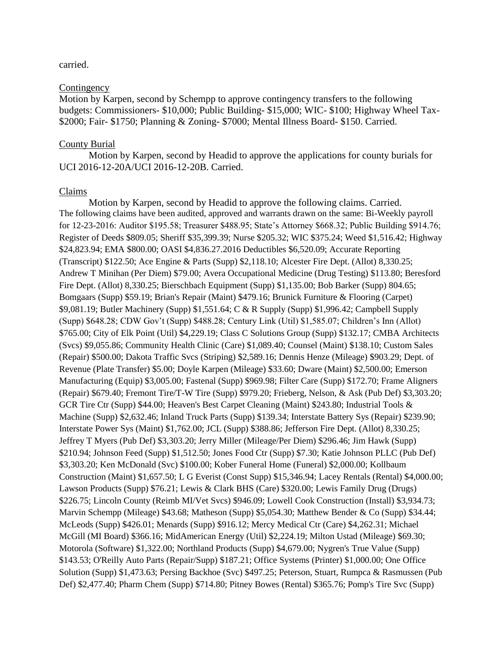#### carried.

#### **Contingency**

Motion by Karpen, second by Schempp to approve contingency transfers to the following budgets: Commissioners- \$10,000; Public Building- \$15,000; WIC- \$100; Highway Wheel Tax- \$2000; Fair- \$1750; Planning & Zoning- \$7000; Mental Illness Board- \$150. Carried.

#### County Burial

Motion by Karpen, second by Headid to approve the applications for county burials for UCI 2016-12-20A/UCI 2016-12-20B. Carried.

#### Claims

Motion by Karpen, second by Headid to approve the following claims. Carried. The following claims have been audited, approved and warrants drawn on the same: Bi-Weekly payroll for 12-23-2016: Auditor \$195.58; Treasurer \$488.95; State's Attorney \$668.32; Public Building \$914.76; Register of Deeds \$809.05; Sheriff \$35,399.39; Nurse \$205.32; WIC \$375.24; Weed \$1,516.42; Highway \$24,823.94; EMA \$800.00; OASI \$4,836.27.2016 Deductibles \$6,520.09; Accurate Reporting (Transcript) \$122.50; Ace Engine & Parts (Supp) \$2,118.10; Alcester Fire Dept. (Allot) 8,330.25; Andrew T Minihan (Per Diem) \$79.00; Avera Occupational Medicine (Drug Testing) \$113.80; Beresford Fire Dept. (Allot) 8,330.25; Bierschbach Equipment (Supp) \$1,135.00; Bob Barker (Supp) 804.65; Bomgaars (Supp) \$59.19; Brian's Repair (Maint) \$479.16; Brunick Furniture & Flooring (Carpet) \$9,081.19; Butler Machinery (Supp) \$1,551.64; C & R Supply (Supp) \$1,996.42; Campbell Supply (Supp) \$648.28; CDW Gov't (Supp) \$488.28; Century Link (Util) \$1,585.07; Children's Inn (Allot) \$765.00; City of Elk Point (Util) \$4,229.19; Class C Solutions Group (Supp) \$132.17; CMBA Architects (Svcs) \$9,055.86; Community Health Clinic (Care) \$1,089.40; Counsel (Maint) \$138.10; Custom Sales (Repair) \$500.00; Dakota Traffic Svcs (Striping) \$2,589.16; Dennis Henze (Mileage) \$903.29; Dept. of Revenue (Plate Transfer) \$5.00; Doyle Karpen (Mileage) \$33.60; Dware (Maint) \$2,500.00; Emerson Manufacturing (Equip) \$3,005.00; Fastenal (Supp) \$969.98; Filter Care (Supp) \$172.70; Frame Aligners (Repair) \$679.40; Fremont Tire/T-W Tire (Supp) \$979.20; Frieberg, Nelson, & Ask (Pub Def) \$3,303.20; GCR Tire Ctr (Supp) \$44.00; Heaven's Best Carpet Cleaning (Maint) \$243.80; Industrial Tools & Machine (Supp) \$2,632.46; Inland Truck Parts (Supp) \$139.34; Interstate Battery Sys (Repair) \$239.90; Interstate Power Sys (Maint) \$1,762.00; JCL (Supp) \$388.86; Jefferson Fire Dept. (Allot) 8,330.25; Jeffrey T Myers (Pub Def) \$3,303.20; Jerry Miller (Mileage/Per Diem) \$296.46; Jim Hawk (Supp) \$210.94; Johnson Feed (Supp) \$1,512.50; Jones Food Ctr (Supp) \$7.30; Katie Johnson PLLC (Pub Def) \$3,303.20; Ken McDonald (Svc) \$100.00; Kober Funeral Home (Funeral) \$2,000.00; Kollbaum Construction (Maint) \$1,657.50; L G Everist (Const Supp) \$15,346.94; Lacey Rentals (Rental) \$4,000.00; Lawson Products (Supp) \$76.21; Lewis & Clark BHS (Care) \$320.00; Lewis Family Drug (Drugs) \$226.75; Lincoln County (Reimb MI/Vet Svcs) \$946.09; Lowell Cook Construction (Install) \$3,934.73; Marvin Schempp (Mileage) \$43.68; Matheson (Supp) \$5,054.30; Matthew Bender & Co (Supp) \$34.44; McLeods (Supp) \$426.01; Menards (Supp) \$916.12; Mercy Medical Ctr (Care) \$4,262.31; Michael McGill (MI Board) \$366.16; MidAmerican Energy (Util) \$2,224.19; Milton Ustad (Mileage) \$69.30; Motorola (Software) \$1,322.00; Northland Products (Supp) \$4,679.00; Nygren's True Value (Supp) \$143.53; O'Reilly Auto Parts (Repair/Supp) \$187.21; Office Systems (Printer) \$1,000.00; One Office Solution (Supp) \$1,473.63; Persing Backhoe (Svc) \$497.25; Peterson, Stuart, Rumpca & Rasmussen (Pub Def) \$2,477.40; Pharm Chem (Supp) \$714.80; Pitney Bowes (Rental) \$365.76; Pomp's Tire Svc (Supp)